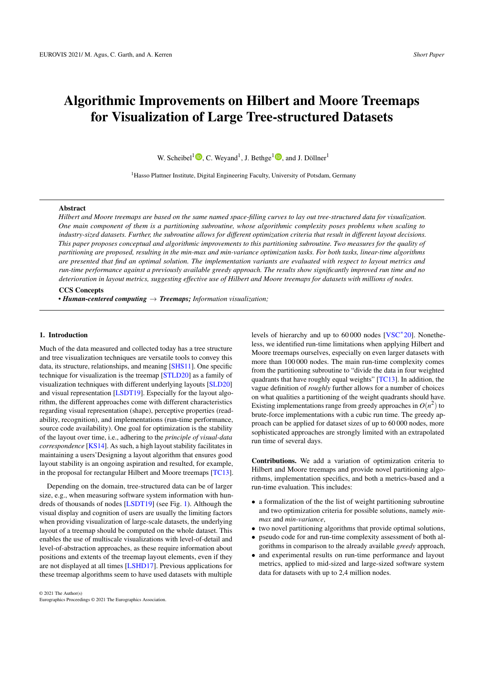# <span id="page-0-0"></span>Algorithmic Improvements on Hilbert and Moore Treemaps for Visualization of Large Tree-structured Datasets

W. Scheibel<sup>1</sup> $\mathbf{D}$ [,](https://orcid.org/0000-0002-6133-9994) C. Weyand<sup>1</sup>, J. Bethge<sup>1</sup> $\mathbf{D}$ , and J. Döllner<sup>1</sup>

<sup>1</sup> Hasso Plattner Institute, Digital Engineering Faculty, University of Potsdam, Germany

# Abstract

*Hilbert and Moore treemaps are based on the same named space-filling curves to lay out tree-structured data for visualization. One main component of them is a partitioning subroutine, whose algorithmic complexity poses problems when scaling to industry-sized datasets. Further, the subroutine allows for different optimization criteria that result in different layout decisions. This paper proposes conceptual and algorithmic improvements to this partitioning subroutine. Two measures for the quality of partitioning are proposed, resulting in the min-max and min-variance optimization tasks. For both tasks, linear-time algorithms are presented that find an optimal solution. The implementation variants are evaluated with respect to layout metrics and run-time performance against a previously available greedy approach. The results show significantly improved run time and no deterioration in layout metrics, suggesting effective use of Hilbert and Moore treemaps for datasets with millions of nodes.*

### CCS Concepts

*• Human-centered computing* → *Treemaps; Information visualization;*

## 1. Introduction

Much of the data measured and collected today has a tree structure and tree visualization techniques are versatile tools to convey this data, its structure, relationships, and meaning [\[SHS11\]](#page-4-0). One specific technique for visualization is the treemap [\[STLD20\]](#page-4-1) as a family of visualization techniques with different underlying layouts [\[SLD20\]](#page-4-2) and visual representation [\[LSDT19\]](#page-4-3). Especially for the layout algorithm, the different approaches come with different characteristics regarding visual representation (shape), perceptive properties (readability, recognition), and implementations (run-time performance, source code availability). One goal for optimization is the stability of the layout over time, i.e., adhering to the *principle of visual-data correspondence* [\[KS14\]](#page-4-4). As such, a high layout stability facilitates in maintaining a users'Designing a layout algorithm that ensures good layout stability is an ongoing aspiration and resulted, for example, in the proposal for rectangular Hilbert and Moore treemaps [\[TC13\]](#page-4-5).

Depending on the domain, tree-structured data can be of larger size, e.g., when measuring software system information with hundreds of thousands of nodes [\[LSDT19\]](#page-4-3) (see Fig. [1\)](#page-1-0). Although the visual display and cognition of users are usually the limiting factors when providing visualization of large-scale datasets, the underlying layout of a treemap should be computed on the whole dataset. This enables the use of multiscale visualizations with level-of-detail and level-of-abstraction approaches, as these require information about positions and extents of the treemap layout elements, even if they are not displayed at all times [\[LSHD17\]](#page-4-6). Previous applications for these treemap algorithms seem to have used datasets with multiple

levels of hierarchy and up to 60 000 nodes [\[VSC](#page-4-7)<sup>∗</sup> 20]. Nonetheless, we identified run-time limitations when applying Hilbert and Moore treemaps ourselves, especially on even larger datasets with more than 100 000 nodes. The main run-time complexity comes from the partitioning subroutine to "divide the data in four weighted quadrants that have roughly equal weights" [\[TC13\]](#page-4-5). In addition, the vague definition of *roughly* further allows for a number of choices on what qualities a partitioning of the weight quadrants should have. Existing implementations range from greedy approaches in  $O(n^2)$  to brute-force implementations with a cubic run time. The greedy approach can be applied for dataset sizes of up to 60 000 nodes, more sophisticated approaches are strongly limited with an extrapolated run time of several days.

Contributions. We add a variation of optimization criteria to Hilbert and Moore treemaps and provide novel partitioning algorithms, implementation specifics, and both a metrics-based and a run-time evaluation. This includes:

- a formalization of the the list of weight partitioning subroutine and two optimization criteria for possible solutions, namely *minmax* and *min-variance*,
- two novel partitioning algorithms that provide optimal solutions,
- pseudo code for and run-time complexity assessment of both algorithms in comparison to the already available *greedy* approach,
- and experimental results on run-time performance and layout metrics, applied to mid-sized and large-sized software system data for datasets with up to 2,4 million nodes.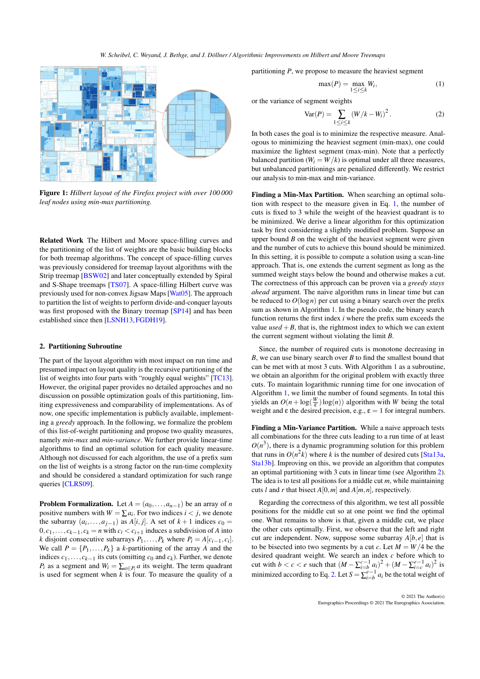<span id="page-1-3"></span>

<span id="page-1-0"></span>Figure 1: *Hilbert layout of the Firefox project with over 100 000 leaf nodes using min-max partitioning.*

Related Work The Hilbert and Moore space-filling curves and the partitioning of the list of weights are the basic building blocks for both treemap algorithms. The concept of space-filling curves was previously considered for treemap layout algorithms with the Strip treemap [\[BSW02\]](#page-4-8) and later conceptually extended by Spiral and S-Shape treemaps [\[TS07\]](#page-4-9). A space-filling Hilbert curve was previously used for non-convex Jigsaw Maps [\[Wat05\]](#page-4-10). The approach to partition the list of weights to perform divide-and-conquer layouts was first proposed with the Binary treemap [\[SP14\]](#page-4-11) and has been established since then [\[LSNH13,](#page-4-12)[FGDH19\]](#page-4-13).

## 2. Partitioning Subroutine

The part of the layout algorithm with most impact on run time and presumed impact on layout quality is the recursive partitioning of the list of weights into four parts with "roughly equal weights" [\[TC13\]](#page-4-5). However, the original paper provides no detailed approaches and no discussion on possible optimization goals of this partitioning, limiting expressiveness and comparability of implementations. As of now, one specific implementation is publicly available, implementing a *greedy* approach. In the following, we formalize the problem of this list-of-weight partitioning and propose two quality measures, namely *min-max* and *min-variance*. We further provide linear-time algorithms to find an optimal solution for each quality measure. Although not discussed for each algorithm, the use of a prefix sum on the list of weights is a strong factor on the run-time complexity and should be considered a standard optimization for such range queries [\[CLRS09\]](#page-4-14).

**Problem Formalization.** Let  $A = (a_0, \ldots, a_{n-1})$  be an array of *n* positive numbers with  $W = \sum a_i$ . For two indices  $i < j$ , we denote the subarray  $(a_i, \ldots, a_{j-1})$  as  $A[i, j]$ . A set of  $k+1$  indices  $c_0 =$  $0, c_1, \ldots, c_{k-1}, c_k = n$  with  $c_i < c_{i+1}$  induces a subdivision of *A* into *k* disjoint consecutive subarrays  $P_1, \ldots, P_k$  where  $P_i = A[c_{i-1}, c_i]$ . We call  $P = \{P_1, \ldots, P_k\}$  a *k*-partitioning of the array *A* and the indices  $c_1, \ldots, c_{k-1}$  its cuts (omitting  $c_0$  and  $c_k$ ). Further, we denote *P*<sup>*i*</sup> as a segment and  $W_i = \sum_{a \in P_i} a$  its weight. The term quadrant is used for segment when *k* is four. To measure the quality of a

partitioning *P*, we propose to measure the heaviest segment

<span id="page-1-2"></span><span id="page-1-1"></span>
$$
\max(P) = \max_{1 \le i \le k} W_i,\tag{1}
$$

or the variance of segment weights

$$
Var(P) = \sum_{1 \le i \le k} (W/k - W_i)^2.
$$
 (2)

In both cases the goal is to minimize the respective measure. Analogous to minimizing the heaviest segment (min-max), one could maximize the lightest segment (max-min). Note that a perfectly balanced partition ( $W_i = W/k$ ) is optimal under all three measures, but unbalanced partitionings are penalized differently. We restrict our analysis to min-max and min-variance.

Finding a Min-Max Partition. When searching an optimal solution with respect to the measure given in Eq. [1,](#page-1-1) the number of cuts is fixed to 3 while the weight of the heaviest quadrant is to be minimized. We derive a linear algorithm for this optimization task by first considering a slightly modified problem. Suppose an upper bound *B* on the weight of the heaviest segment were given and the number of cuts to achieve this bound should be minimized. In this setting, it is possible to compute a solution using a scan-line approach. That is, one extends the current segment as long as the summed weight stays below the bound and otherwise makes a cut. The correctness of this approach can be proven via a *greedy stays ahead* argument. The naive algorithm runs in linear time but can be reduced to  $O(\log n)$  per cut using a binary search over the prefix sum as shown in Algorithm [1.](#page-2-0) In the pseudo code, the binary search function returns the first index *i* where the prefix sum exceeds the value  $used + B$ , that is, the rightmost index to which we can extent the current segment without violating the limit *B*.

Since, the number of required cuts is monotone decreasing in *B*, we can use binary search over *B* to find the smallest bound that can be met with at most 3 cuts. With Algorithm [1](#page-2-0) as a subroutine, we obtain an algorithm for the original problem with exactly three cuts. To maintain logarithmic running time for one invocation of Algorithm [1,](#page-2-0) we limit the number of found segments. In total this yields an  $O(n + \log(\frac{W}{\epsilon}) \log(n))$  algorithm with *W* being the total weight and  $\varepsilon$  the desired precision, e.g.,  $\varepsilon = 1$  for integral numbers.

Finding a Min-Variance Partition. While a naive approach tests all combinations for the three cuts leading to a run time of at least  $O(n^3)$ , there is a dynamic programming solution for this problem that runs in  $O(n^2k)$  where *k* is the number of desired cuts [\[Sta13a,](#page-4-15) [Sta13b\]](#page-4-16). Improving on this, we provide an algorithm that computes an optimal partitioning with 3 cuts in linear time (see Algorithm [2\)](#page-2-1). The idea is to test all positions for a middle cut *m*, while maintaining cuts *l* and *r* that bisect  $A[0,m]$  and  $A[m,n]$ , respectively.

Regarding the correctness of this algorithm, we test all possible positions for the middle cut so at one point we find the optimal one. What remains to show is that, given a middle cut, we place the other cuts optimally. First, we observe that the left and right cut are independent. Now, suppose some subarray  $A[b, e]$  that is to be bisected into two segments by a cut *c*. Let  $M = W/4$  be the desired quadrant weight. We search an index *c* before which to cut with  $b < c < e$  such that  $(M - \sum_{i=b}^{c-1} a_i)^2 + (M - \sum_{i=c}^{e-1} a_i)^2$  is minimized according to Eq. [2.](#page-1-2) Let  $S = \sum_{i=0}^{e-1} a_i$  be the total weight of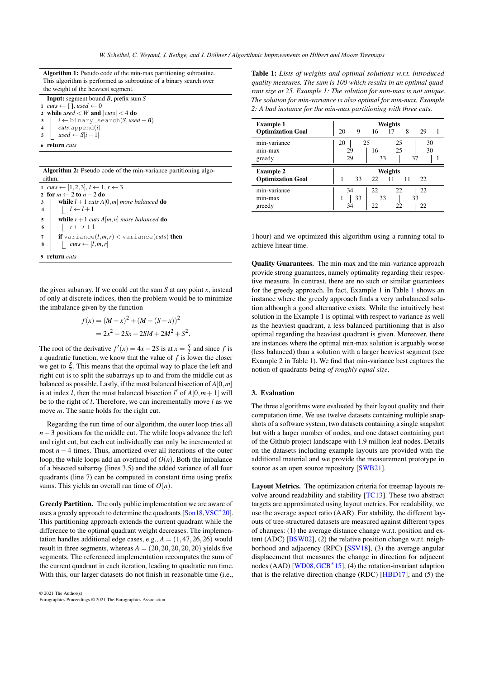<span id="page-2-3"></span>Algorithm 1: Pseudo code of the min-max partitioning subroutine. This algorithm is performed as subroutine of a binary search over the weight of the heaviest segment.

Input: segment bound *B*, prefix sum *S* 1  $cuts \leftarrow [$  ], used  $\leftarrow 0$ 2 while  $used < W$  and  $|cuts| < 4$  do  $3 \mid i \leftarrow$  binary\_search(*S*, used + *B*) 4 *cuts*.append(*i*) 5  $used \leftarrow S[i-1]$ 

<span id="page-2-0"></span>6 return *cuts*

| Algorithm 2: Pseudo code of the min-variance partitioning algo- |  |
|-----------------------------------------------------------------|--|
| rithm.                                                          |  |

1  $cuts \leftarrow [1,2,3], l \leftarrow 1, r \leftarrow 3$ 2 for  $m \leftarrow 2$  to  $n - 2$  do 3 while  $l + 1$  *cuts A*[0,*m*] *more balanced* do 4  $\vert \vert l \leftarrow l+1$ 5 while  $r+1$  *cuts A*[*m, n*] *more balanced* do <br>6  $r \leftarrow r+1$  $\lfloor r \leftarrow r+1 \rfloor$ 7  $\vert$  if variance( $l,m,r$ ) < variance( $cuts$ ) then 8  $cl: \textit{cuts} \leftarrow [l, m, r]$ 9 return *cuts*

<span id="page-2-1"></span>the given subarray. If we could cut the sum  $S$  at any point  $x$ , instead of only at discrete indices, then the problem would be to minimize the imbalance given by the function

$$
f(x) = (M - x)^{2} + (M - (S - x))^{2}
$$
  
= 2x<sup>2</sup> - 2Sx - 2SM + 2M<sup>2</sup> + S<sup>2</sup>.

The root of the derivative  $f'(x) = 4x - 2S$  is at  $x = \frac{S}{2}$  and since f is a quadratic function, we know that the value of  $f$  is lower the closer we get to  $\frac{S}{2}$ . This means that the optimal way to place the left and right cut is to split the subarrays up to and from the middle cut as balanced as possible. Lastly, if the most balanced bisection of *A*[0,*m*] is at index *l*, then the most balanced bisection *l'* of  $A[0, m+1]$  will be to the right of *l*. Therefore, we can incrementally move *l* as we move *m*. The same holds for the right cut.

Regarding the run time of our algorithm, the outer loop tries all *n*−3 positions for the middle cut. The while loops advance the left and right cut, but each cut individually can only be incremented at most *n* − 4 times. Thus, amortized over all iterations of the outer loop, the while loops add an overhead of  $O(n)$ . Both the imbalance of a bisected subarray (lines 3,5) and the added variance of all four quadrants (line 7) can be computed in constant time using prefix sums. This yields an overall run time of *O*(*n*).

Greedy Partition. The only public implementation we are aware of uses a greedy approach to determine the quadrants [\[Son18](#page-4-17), VSC<sup>\*</sup>20]. This partitioning approach extends the current quadrant while the difference to the optimal quadrant weight decreases. The implementation handles additional edge cases, e.g.,  $A = (1, 47, 26, 26)$  would result in three segments, whereas  $A = (20, 20, 20, 20, 20)$  yields five segments. The referenced implementation recomputes the sum of the current quadrant in each iteration, leading to quadratic run time. With this, our larger datasets do not finish in reasonable time (i.e.,



<span id="page-2-2"></span>Table 1: *Lists of weights and optimal solutions w.r.t. introduced quality measures. The sum is 100 which results in an optimal quadrant size at 25. Example 1: The solution for min-max is not unique. The solution for min-variance is also optimal for min-max. Example 2: A bad instance for the min-max partitioning with three cuts.*

| <b>Example 1</b><br><b>Optimization Goal</b> | Weights<br>20<br>16<br>8<br>9<br>17<br>29                      |
|----------------------------------------------|----------------------------------------------------------------|
| min-variance<br>$min-max$<br>greedy          | 20<br>25<br>30<br>25<br>25<br>30<br>16<br>29<br>29<br>37<br>33 |
|                                              |                                                                |
| <b>Example 2</b><br><b>Optimization Goal</b> | Weights<br>33<br>22<br>11<br>11<br>22                          |

1 hour) and we optimized this algorithm using a running total to achieve linear time.

Quality Guarantees. The min-max and the min-variance approach provide strong guarantees, namely optimality regarding their respective measure. In contrast, there are no such or similar guarantees for the greedy approach. In fact, Example 1 in Table [1](#page-2-2) shows an instance where the greedy approach finds a very unbalanced solution although a good alternative exists. While the intuitively best solution in the Example 1 is optimal with respect to variance as well as the heaviest quadrant, a less balanced partitioning that is also optimal regarding the heaviest quadrant is given. Moreover, there are instances where the optimal min-max solution is arguably worse (less balanced) than a solution with a larger heaviest segment (see Example 2 in Table [1\)](#page-2-2). We find that min-variance best captures the notion of quadrants being *of roughly equal size*.

### 3. Evaluation

The three algorithms were evaluated by their layout quality and their computation time. We use twelve datasets containing multiple snapshots of a software system, two datasets containing a single snapshot but with a larger number of nodes, and one dataset containing part of the Github project landscape with 1.9 million leaf nodes. Details on the datasets including example layouts are provided with the additional material and we provide the measurement prototype in source as an open source repository [\[SWB21\]](#page-4-18).

Layout Metrics. The optimization criteria for treemap layouts revolve around readability and stability [\[TC13\]](#page-4-5). These two abstract targets are approximated using layout metrics. For readability, we use the average aspect ratio (AAR). For stability, the different layouts of tree-structured datasets are measured against different types of changes: (1) the average distance change w.r.t. position and extent (ADC) [\[BSW02\]](#page-4-8), (2) the relative position change w.r.t. neighborhood and adjacency (RPC) [\[SSV18\]](#page-4-19), (3) the average angular displacement that measures the change in direction for adjacent nodes (AAD) [\[WD08,](#page-4-20) [GCB](#page-4-21)<sup>\*</sup>15], (4) the rotation-invariant adaption that is the relative direction change (RDC) [\[HBD17\]](#page-4-22), and (5) the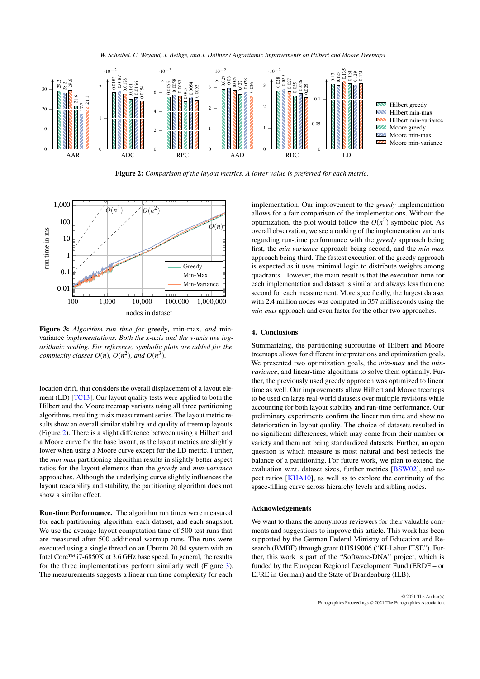<span id="page-3-2"></span>

*W. Scheibel, C. Weyand, J. Bethge, and J. Döllner / Algorithmic Improvements on Hilbert and Moore Treemaps*

<span id="page-3-0"></span>Figure 2: *Comparison of the layout metrics. A lower value is preferred for each metric.*



<span id="page-3-1"></span>Figure 3: *Algorithm run time for* greedy*,* min-max*, and* minvariance *implementations. Both the x-axis and the y-axis use logarithmic scaling. For reference, symbolic plots are added for the complexity classes*  $O(n)$ *,*  $O(n^2)$ *, and*  $O(n^3)$ *.* 

location drift, that considers the overall displacement of a layout element (LD) [\[TC13\]](#page-4-5). Our layout quality tests were applied to both the Hilbert and the Moore treemap variants using all three partitioning algorithms, resulting in six measurement series. The layout metric results show an overall similar stability and quality of treemap layouts (Figure [2\)](#page-3-0). There is a slight difference between using a Hilbert and a Moore curve for the base layout, as the layout metrics are slightly lower when using a Moore curve except for the LD metric. Further, the *min-max* partitioning algorithm results in slightly better aspect ratios for the layout elements than the *greedy* and *min-variance* approaches. Although the underlying curve slightly influences the layout readability and stability, the partitioning algorithm does not show a similar effect.

Run-time Performance. The algorithm run times were measured for each partitioning algorithm, each dataset, and each snapshot. We use the average layout computation time of 500 test runs that are measured after 500 additional warmup runs. The runs were executed using a single thread on an Ubuntu 20.04 system with an Intel Core™ i7-6850K at 3.6 GHz base speed. In general, the results for the three implementations perform similarly well (Figure [3\)](#page-3-1). The measurements suggests a linear run time complexity for each

implementation. Our improvement to the *greedy* implementation allows for a fair comparison of the implementations. Without the optimization, the plot would follow the  $O(n^2)$  symbolic plot. As overall observation, we see a ranking of the implementation variants regarding run-time performance with the *greedy* approach being first, the *min-variance* approach being second, and the *min-max* approach being third. The fastest execution of the greedy approach is expected as it uses minimal logic to distribute weights among quadrants. However, the main result is that the execution time for each implementation and dataset is similar and always less than one second for each measurement. More specifically, the largest dataset with 2.4 million nodes was computed in 357 milliseconds using the *min-max* approach and even faster for the other two approaches.

# 4. Conclusions

Summarizing, the partitioning subroutine of Hilbert and Moore treemaps allows for different interpretations and optimization goals. We presented two optimization goals, the *min-max* and the *minvariance*, and linear-time algorithms to solve them optimally. Further, the previously used greedy approach was optimized to linear time as well. Our improvements allow Hilbert and Moore treemaps to be used on large real-world datasets over multiple revisions while accounting for both layout stability and run-time performance. Our preliminary experiments confirm the linear run time and show no deterioration in layout quality. The choice of datasets resulted in no significant differences, which may come from their number or variety and them not being standardized datasets. Further, an open question is which measure is most natural and best reflects the balance of a partitioning. For future work, we plan to extend the evaluation w.r.t. dataset sizes, further metrics [\[BSW02\]](#page-4-8), and aspect ratios [\[KHA10\]](#page-4-23), as well as to explore the continuity of the space-filling curve across hierarchy levels and sibling nodes.

#### Acknowledgements

We want to thank the anonymous reviewers for their valuable comments and suggestions to improve this article. This work has been supported by the German Federal Ministry of Education and Research (BMBF) through grant 01IS19006 ("KI-Labor ITSE"). Further, this work is part of the "Software-DNA" project, which is funded by the European Regional Development Fund (ERDF – or EFRE in German) and the State of Brandenburg (ILB).